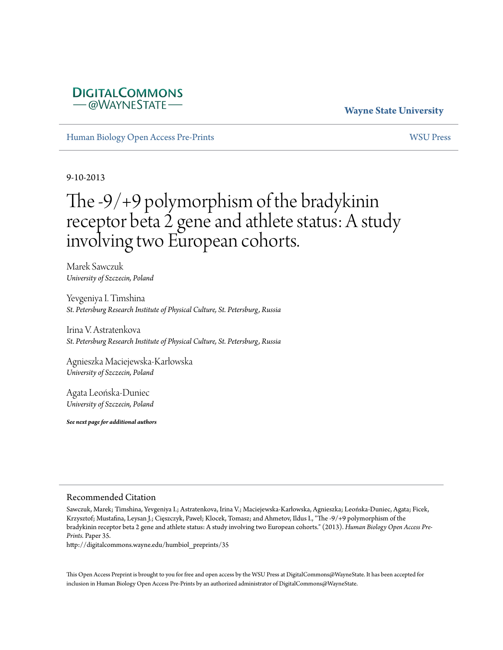#### **Wayne State University**

[Human Biology Open Access Pre-Prints](http://digitalcommons.wayne.edu/humbiol_preprints) [WSU Press](http://digitalcommons.wayne.edu/wsupress)

**DIGITALCOMMONS** *–* @WAYNESTATE –

9-10-2013

# The -9/+9 polymorphism of the bradykinin receptor beta 2 gene and athlete status: A study involving two European cohorts.

Marek Sawczuk *University of Szczecin, Poland*

Yevgeniya I. Timshina *St. Petersburg Research Institute of Physical Culture, St. Petersburg, Russia*

Irina V. Astratenkova *St. Petersburg Research Institute of Physical Culture, St. Petersburg, Russia*

Agnieszka Maciejewska-Karłowska *University of Szczecin, Poland*

Agata Leońska-Duniec *University of Szczecin, Poland*

*See next page for additional authors*

#### Recommended Citation

Sawczuk, Marek; Timshina, Yevgeniya I.; Astratenkova, Irina V.; Maciejewska-Karłowska, Agnieszka; Leońska-Duniec, Agata; Ficek, Krzysztof; Mustafina, Leysan J.; Cięszczyk, Paweł; Klocek, Tomasz; and Ahmetov, Ildus I., "The -9/+9 polymorphism of the bradykinin receptor beta 2 gene and athlete status: A study involving two European cohorts." (2013). *Human Biology Open Access Pre-Prints.* Paper 35.

http://digitalcommons.wayne.edu/humbiol\_preprints/35

This Open Access Preprint is brought to you for free and open access by the WSU Press at DigitalCommons@WayneState. It has been accepted for inclusion in Human Biology Open Access Pre-Prints by an authorized administrator of DigitalCommons@WayneState.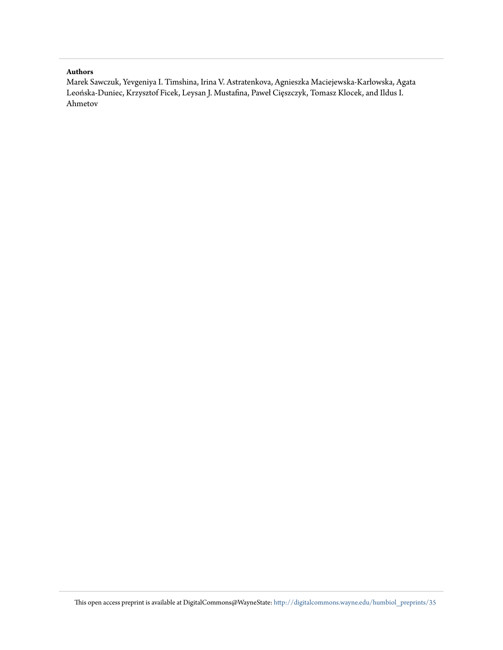#### **Authors**

Marek Sawczuk, Yevgeniya I. Timshina, Irina V. Astratenkova, Agnieszka Maciejewska-Karłowska, Agata Leońska-Duniec, Krzysztof Ficek, Leysan J. Mustafina, Paweł Cięszczyk, Tomasz Klocek, and Ildus I. Ahmetov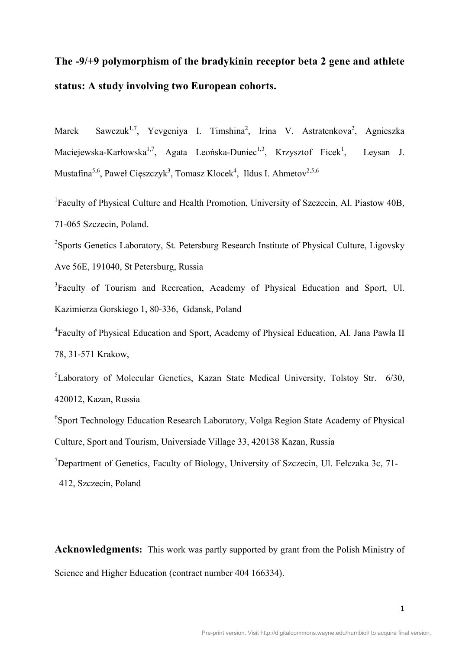## **The -9/+9 polymorphism of the bradykinin receptor beta 2 gene and athlete status: A study involving two European cohorts.**

Marek Sawczuk<sup>1,7</sup>, Yevgeniya I. Timshina<sup>2</sup>, Irina V. Astratenkova<sup>2</sup>, Agnieszka Maciejewska-Karłowska<sup>1,7</sup>, Agata Leońska-Duniec<sup>1,3</sup>, Krzysztof Ficek<sup>1</sup>, , Leysan J. Mustafina<sup>5,6</sup>, Paweł Cięszczyk<sup>3</sup>, Tomasz Klocek<sup>4</sup>, Ildus I. Ahmetov<sup>2,5,6</sup>

<sup>1</sup>Faculty of Physical Culture and Health Promotion, University of Szczecin, Al. Piastow 40B, 71-065 Szczecin, Poland.

<sup>2</sup>Sports Genetics Laboratory, St. Petersburg Research Institute of Physical Culture, Ligovsky Ave 56E, 191040, St Petersburg, Russia

<sup>3</sup>Faculty of Tourism and Recreation, Academy of Physical Education and Sport, Ul. Kazimierza Gorskiego 1, 80-336, Gdansk, Poland

<sup>4</sup> Faculty of Physical Education and Sport, Academy of Physical Education, Al. Jana Pawła II 78, 31-571 Krakow,

<sup>5</sup>Laboratory of Molecular Genetics, Kazan State Medical University, Tolstoy Str. 6/30, 420012, Kazan, Russia

6 Sport Technology Education Research Laboratory, Volga Region State Academy of Physical Culture, Sport and Tourism, Universiade Village 33, 420138 Kazan, Russia

<sup>7</sup>Department of Genetics, Faculty of Biology, University of Szczecin, Ul. Felczaka 3c, 71-

412, Szczecin, Poland

**Acknowledgments:** This work was partly supported by grant from the Polish Ministry of Science and Higher Education (contract number 404 166334).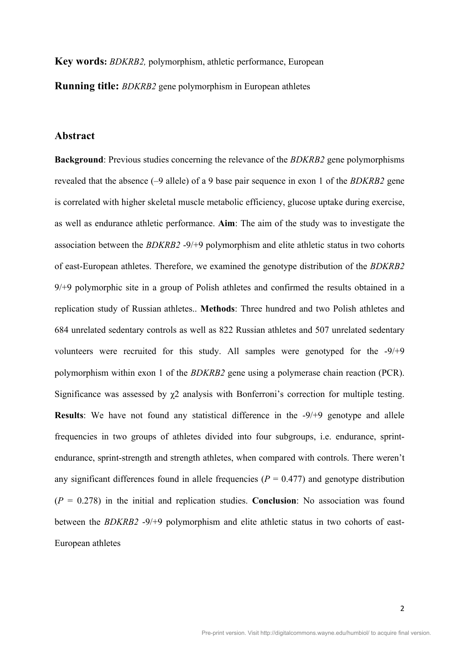**Key words:** *BDKRB2,* polymorphism, athletic performance, European

**Running title:** *BDKRB2* gene polymorphism in European athletes

#### **Abstract**

**Background**: Previous studies concerning the relevance of the *BDKRB2* gene polymorphisms revealed that the absence (–9 allele) of a 9 base pair sequence in exon 1 of the *BDKRB2* gene is correlated with higher skeletal muscle metabolic efficiency, glucose uptake during exercise, as well as endurance athletic performance. **Aim**: The aim of the study was to investigate the association between the *BDKRB2* -9/+9 polymorphism and elite athletic status in two cohorts of east-European athletes. Therefore, we examined the genotype distribution of the *BDKRB2*  9/+9 polymorphic site in a group of Polish athletes and confirmed the results obtained in a replication study of Russian athletes.. **Methods**: Three hundred and two Polish athletes and 684 unrelated sedentary controls as well as 822 Russian athletes and 507 unrelated sedentary volunteers were recruited for this study. All samples were genotyped for the -9/+9 polymorphism within exon 1 of the *BDKRB2* gene using a polymerase chain reaction (PCR). Significance was assessed by χ2 analysis with Bonferroni's correction for multiple testing. **Results**: We have not found any statistical difference in the -9/+9 genotype and allele frequencies in two groups of athletes divided into four subgroups, i.e. endurance, sprintendurance, sprint-strength and strength athletes, when compared with controls. There weren't any significant differences found in allele frequencies ( $P = 0.477$ ) and genotype distribution  $(P = 0.278)$  in the initial and replication studies. **Conclusion**: No association was found between the *BDKRB2* -9/+9 polymorphism and elite athletic status in two cohorts of east-European athletes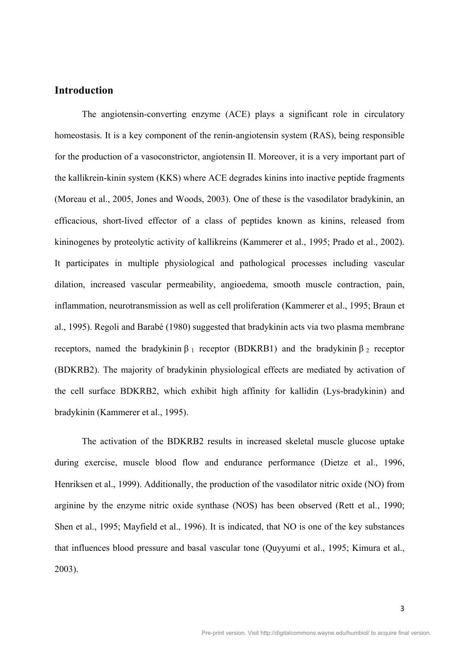## **Introduction**

The angiotensin-converting enzyme (ACE) plays a significant role in circulatory homeostasis. It is a key component of the renin-angiotensin system (RAS), being responsible for the production of a vasoconstrictor, angiotensin II. Moreover, it is a very important part of the kallikrein-kinin system (KKS) where ACE degrades kinins into inactive peptide fragments (Moreau et al., 2005, Jones and Woods, 2003). One of these is the vasodilator bradykinin, an efficacious, short-lived effector of a class of peptides known as kinins, released from kininogenes by proteolytic activity of kallikreins (Kammerer et al., 1995; Prado et al., 2002). It participates in multiple physiological and pathological processes including vascular dilation, increased vascular permeability, angioedema, smooth muscle contraction, pain, inflammation, neurotransmission as well as cell proliferation (Kammerer et al., 1995; Braun et al., 1995). Regoli and Barabé (1980) suggested that bradykinin acts via two plasma membrane receptors, named the bradykinin  $β_1$  receptor (BDKRB1) and the bradykinin  $β_2$  receptor (BDKRB2). The majority of bradykinin physiological effects are mediated by activation of the cell surface BDKRB2, which exhibit high affinity for kallidin (Lys-bradykinin) and bradykinin (Kammerer et al., 1995).

The activation of the BDKRB2 results in increased skeletal muscle glucose uptake during exercise, muscle blood flow and endurance performance (Dietze et al., 1996, Henriksen et al., 1999). Additionally, the production of the vasodilator nitric oxide (NO) from arginine by the enzyme nitric oxide synthase (NOS) has been observed (Rett et al., 1990; Shen et al., 1995; Mayfield et al., 1996). It is indicated, that NO is one of the key substances that influences blood pressure and basal vascular tone (Quyyumi et al., 1995; Kimura et al., 2003).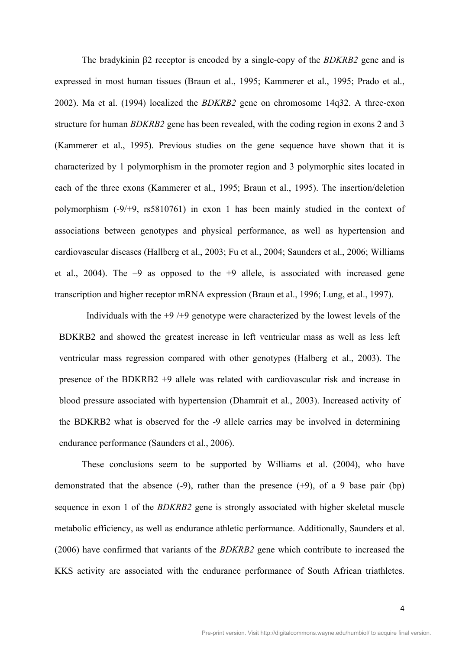The bradykinin β2 receptor is encoded by a single-copy of the *BDKRB2* gene and is expressed in most human tissues (Braun et al., 1995; Kammerer et al., 1995; Prado et al., 2002). Ma et al. (1994) localized the *BDKRB2* gene on chromosome 14q32. A three-exon structure for human *BDKRB2* gene has been revealed, with the coding region in exons 2 and 3 (Kammerer et al., 1995). Previous studies on the gene sequence have shown that it is characterized by 1 polymorphism in the promoter region and 3 polymorphic sites located in each of the three exons (Kammerer et al., 1995; Braun et al., 1995). The insertion/deletion polymorphism (-9/+9, rs5810761) in exon 1 has been mainly studied in the context of associations between genotypes and physical performance, as well as hypertension and cardiovascular diseases (Hallberg et al., 2003; Fu et al., 2004; Saunders et al., 2006; Williams et al., 2004). The  $-9$  as opposed to the  $+9$  allele, is associated with increased gene transcription and higher receptor mRNA expression (Braun et al., 1996; Lung, et al., 1997).

Individuals with the  $+9$  / $+9$  genotype were characterized by the lowest levels of the BDKRB2 and showed the greatest increase in left ventricular mass as well as less left ventricular mass regression compared with other genotypes (Halberg et al., 2003). The presence of the BDKRB2 +9 allele was related with cardiovascular risk and increase in blood pressure associated with hypertension (Dhamrait et al., 2003). Increased activity of the BDKRB2 what is observed for the -9 allele carries may be involved in determining endurance performance (Saunders et al., 2006).

These conclusions seem to be supported by Williams et al. (2004), who have demonstrated that the absence  $(-9)$ , rather than the presence  $(+9)$ , of a 9 base pair  $(bp)$ sequence in exon 1 of the *BDKRB2* gene is strongly associated with higher skeletal muscle metabolic efficiency, as well as endurance athletic performance. Additionally, Saunders et al. (2006) have confirmed that variants of the *BDKRB2* gene which contribute to increased the KKS activity are associated with the endurance performance of South African triathletes.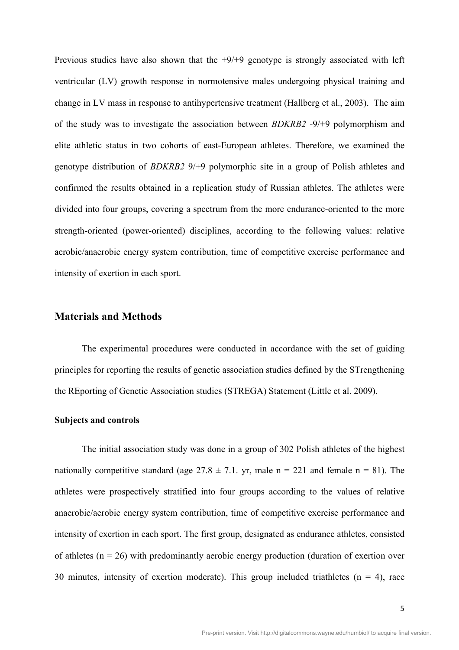Previous studies have also shown that the  $+9/+9$  genotype is strongly associated with left ventricular (LV) growth response in normotensive males undergoing physical training and change in LV mass in response to antihypertensive treatment (Hallberg et al., 2003). The aim of the study was to investigate the association between *BDKRB2* -9/+9 polymorphism and elite athletic status in two cohorts of east-European athletes. Therefore, we examined the genotype distribution of *BDKRB2* 9/+9 polymorphic site in a group of Polish athletes and confirmed the results obtained in a replication study of Russian athletes. The athletes were divided into four groups, covering a spectrum from the more endurance-oriented to the more strength-oriented (power-oriented) disciplines, according to the following values: relative aerobic/anaerobic energy system contribution, time of competitive exercise performance and intensity of exertion in each sport.

#### **Materials and Methods**

The experimental procedures were conducted in accordance with the set of guiding principles for reporting the results of genetic association studies defined by the STrengthening the REporting of Genetic Association studies (STREGA) Statement (Little et al. 2009).

#### **Subjects and controls**

The initial association study was done in a group of 302 Polish athletes of the highest nationally competitive standard (age  $27.8 \pm 7.1$ , yr, male n = 221 and female n = 81). The athletes were prospectively stratified into four groups according to the values of relative anaerobic/aerobic energy system contribution, time of competitive exercise performance and intensity of exertion in each sport. The first group, designated as endurance athletes, consisted of athletes ( $n = 26$ ) with predominantly aerobic energy production (duration of exertion over 30 minutes, intensity of exertion moderate). This group included triathletes  $(n = 4)$ , race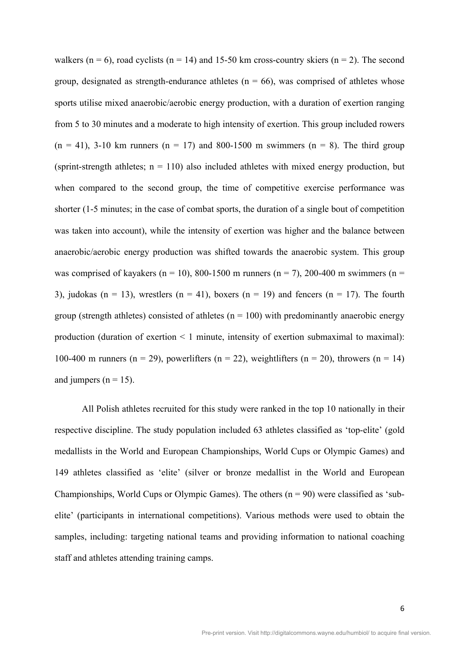walkers ( $n = 6$ ), road cyclists ( $n = 14$ ) and 15-50 km cross-country skiers ( $n = 2$ ). The second group, designated as strength-endurance athletes ( $n = 66$ ), was comprised of athletes whose sports utilise mixed anaerobic/aerobic energy production, with a duration of exertion ranging from 5 to 30 minutes and a moderate to high intensity of exertion. This group included rowers  $(n = 41)$ , 3-10 km runners  $(n = 17)$  and 800-1500 m swimmers  $(n = 8)$ . The third group (sprint-strength athletes;  $n = 110$ ) also included athletes with mixed energy production, but when compared to the second group, the time of competitive exercise performance was shorter (1-5 minutes; in the case of combat sports, the duration of a single bout of competition was taken into account), while the intensity of exertion was higher and the balance between anaerobic/aerobic energy production was shifted towards the anaerobic system. This group was comprised of kayakers (n = 10), 800-1500 m runners (n = 7), 200-400 m swimmers (n = 3), judokas (n = 13), wrestlers (n = 41), boxers (n = 19) and fencers (n = 17). The fourth group (strength athletes) consisted of athletes ( $n = 100$ ) with predominantly anaerobic energy production (duration of exertion < 1 minute, intensity of exertion submaximal to maximal): 100-400 m runners (n = 29), powerlifters (n = 22), weightlifters (n = 20), throwers (n = 14) and jumpers ( $n = 15$ ).

All Polish athletes recruited for this study were ranked in the top 10 nationally in their respective discipline. The study population included 63 athletes classified as 'top-elite' (gold medallists in the World and European Championships, World Cups or Olympic Games) and 149 athletes classified as 'elite' (silver or bronze medallist in the World and European Championships, World Cups or Olympic Games). The others  $(n = 90)$  were classified as 'subelite' (participants in international competitions). Various methods were used to obtain the samples, including: targeting national teams and providing information to national coaching staff and athletes attending training camps.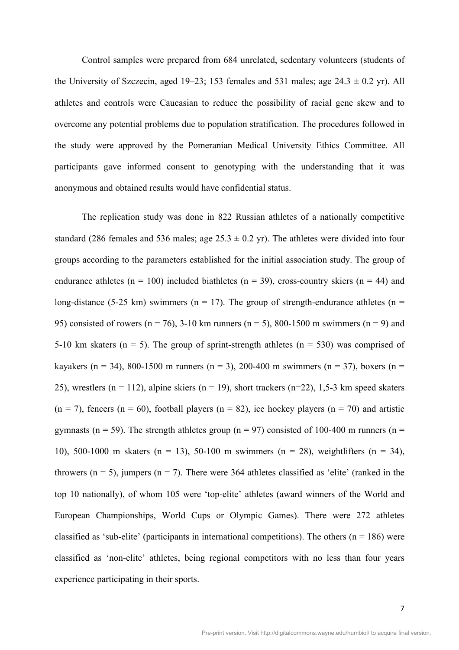Control samples were prepared from 684 unrelated, sedentary volunteers (students of the University of Szczecin, aged 19–23; 153 females and 531 males; age  $24.3 \pm 0.2$  yr). All athletes and controls were Caucasian to reduce the possibility of racial gene skew and to overcome any potential problems due to population stratification. The procedures followed in the study were approved by the Pomeranian Medical University Ethics Committee. All participants gave informed consent to genotyping with the understanding that it was anonymous and obtained results would have confidential status.

The replication study was done in 822 Russian athletes of a nationally competitive standard (286 females and 536 males; age  $25.3 \pm 0.2$  yr). The athletes were divided into four groups according to the parameters established for the initial association study. The group of endurance athletes ( $n = 100$ ) included biathletes ( $n = 39$ ), cross-country skiers ( $n = 44$ ) and long-distance (5-25 km) swimmers ( $n = 17$ ). The group of strength-endurance athletes ( $n =$ 95) consisted of rowers ( $n = 76$ ), 3-10 km runners ( $n = 5$ ), 800-1500 m swimmers ( $n = 9$ ) and 5-10 km skaters ( $n = 5$ ). The group of sprint-strength athletes ( $n = 530$ ) was comprised of kayakers (n = 34), 800-1500 m runners (n = 3), 200-400 m swimmers (n = 37), boxers (n = 25), wrestlers (n = 112), alpine skiers (n = 19), short trackers (n=22), 1,5-3 km speed skaters  $(n = 7)$ , fencers  $(n = 60)$ , football players  $(n = 82)$ , ice hockey players  $(n = 70)$  and artistic gymnasts (n = 59). The strength athletes group (n = 97) consisted of 100-400 m runners (n = 10), 500-1000 m skaters (n = 13), 50-100 m swimmers (n = 28), weightlifters (n = 34), throwers ( $n = 5$ ), jumpers ( $n = 7$ ). There were 364 athletes classified as 'elite' (ranked in the top 10 nationally), of whom 105 were 'top-elite' athletes (award winners of the World and European Championships, World Cups or Olympic Games). There were 272 athletes classified as 'sub-elite' (participants in international competitions). The others ( $n = 186$ ) were classified as 'non-elite' athletes, being regional competitors with no less than four years experience participating in their sports.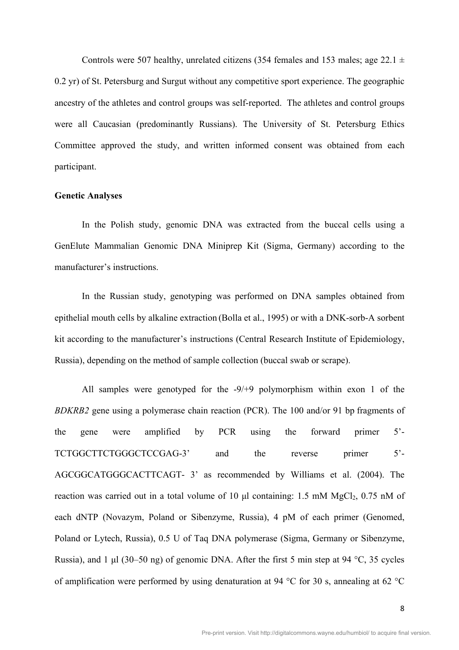Controls were 507 healthy, unrelated citizens (354 females and 153 males; age 22.1  $\pm$ 0.2 yr) of St. Petersburg and Surgut without any competitive sport experience. The geographic ancestry of the athletes and control groups was self-reported. The athletes and control groups were all Caucasian (predominantly Russians). The University of St. Petersburg Ethics Committee approved the study, and written informed consent was obtained from each participant.

#### **Genetic Analyses**

In the Polish study, genomic DNA was extracted from the buccal cells using a GenElute Mammalian Genomic DNA Miniprep Kit (Sigma, Germany) according to the manufacturer's instructions.

In the Russian study, genotyping was performed on DNA samples obtained from epithelial mouth cells by alkaline extraction (Bolla et al., 1995) or with a DNK-sorb-A sorbent kit according to the manufacturer's instructions (Central Research Institute of Epidemiology, Russia), depending on the method of sample collection (buccal swab or scrape).

All samples were genotyped for the -9/+9 polymorphism within exon 1 of the *BDKRB2* gene using a polymerase chain reaction (PCR). The 100 and/or 91 bp fragments of the gene were amplified by PCR using the forward primer 5'- TCTGGCTTCTGGGCTCCGAG-3' and the reverse primer 5'- AGCGGCATGGGCACTTCAGT- 3' as recommended by Williams et al. (2004). The reaction was carried out in a total volume of 10  $\mu$ l containing: 1.5 mM MgCl<sub>2</sub>, 0.75 mM of each dNTP (Novazym, Poland or Sibenzyme, Russia), 4 pM of each primer (Genomed, Poland or Lytech, Russia), 0.5 U of Taq DNA polymerase (Sigma, Germany or Sibenzyme, Russia), and 1  $\mu$ l (30–50 ng) of genomic DNA. After the first 5 min step at 94 °C, 35 cycles of amplification were performed by using denaturation at 94 °C for 30 s, annealing at 62 °C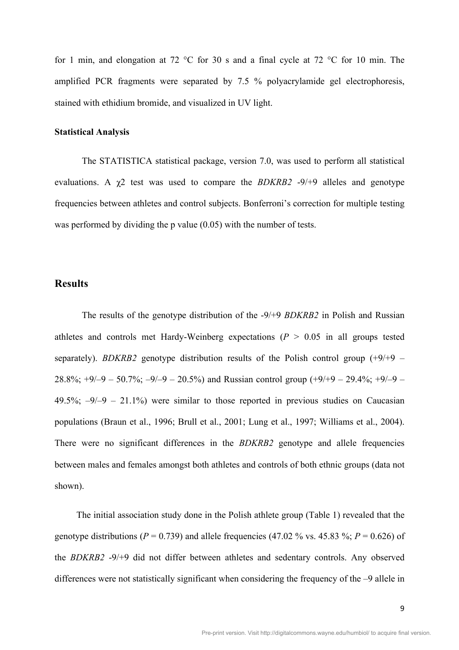for 1 min, and elongation at 72 °C for 30 s and a final cycle at 72 °C for 10 min. The amplified PCR fragments were separated by 7.5 % polyacrylamide gel electrophoresis, stained with ethidium bromide, and visualized in UV light.

#### **Statistical Analysis**

The STATISTICA statistical package, version 7.0, was used to perform all statistical evaluations. A χ2 test was used to compare the *BDKRB2* -9/+9 alleles and genotype frequencies between athletes and control subjects. Bonferroni's correction for multiple testing was performed by dividing the p value (0.05) with the number of tests.

## **Results**

The results of the genotype distribution of the -9/+9 *BDKRB2* in Polish and Russian athletes and controls met Hardy-Weinberg expectations  $(P > 0.05$  in all groups tested separately). *BDKRB2* genotype distribution results of the Polish control group  $(+9/+9 -$ 28.8%;  $+9/-9 - 50.7\%$ ;  $-9/-9 - 20.5\%$ ) and Russian control group  $(+9/+9 - 29.4\%$ ;  $+9/-9 49.5\%$ ;  $-9/-9 - 21.1\%$ ) were similar to those reported in previous studies on Caucasian populations (Braun et al., 1996; Brull et al., 2001; Lung et al., 1997; Williams et al., 2004). There were no significant differences in the *BDKRB2* genotype and allele frequencies between males and females amongst both athletes and controls of both ethnic groups (data not shown).

The initial association study done in the Polish athlete group (Table 1) revealed that the genotype distributions ( $P = 0.739$ ) and allele frequencies (47.02 % vs. 45.83 %;  $P = 0.626$ ) of the *BDKRB2* -9/+9 did not differ between athletes and sedentary controls. Any observed differences were not statistically significant when considering the frequency of the –9 allele in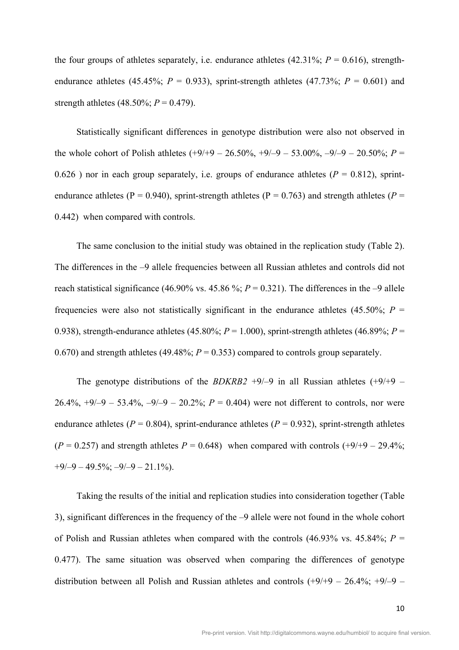the four groups of athletes separately, i.e. endurance athletes  $(42.31\%; P = 0.616)$ , strengthendurance athletes (45.45%;  $P = 0.933$ ), sprint-strength athletes (47.73%;  $P = 0.601$ ) and strength athletes (48.50%;  $P = 0.479$ ).

Statistically significant differences in genotype distribution were also not observed in the whole cohort of Polish athletes  $(+9/49 - 26.50\%, +9/-9 - 53.00\%, -9/-9 - 20.50\%; P =$ 0.626) nor in each group separately, i.e. groups of endurance athletes  $(P = 0.812)$ , sprintendurance athletes ( $P = 0.940$ ), sprint-strength athletes ( $P = 0.763$ ) and strength athletes ( $P = 0.940$ ) 0.442) when compared with controls.

The same conclusion to the initial study was obtained in the replication study (Table 2). The differences in the –9 allele frequencies between all Russian athletes and controls did not reach statistical significance (46.90% vs. 45.86 %;  $P = 0.321$ ). The differences in the –9 allele frequencies were also not statistically significant in the endurance athletes (45.50%;  $P =$ 0.938), strength-endurance athletes (45.80%;  $P = 1.000$ ), sprint-strength athletes (46.89%;  $P =$ 0.670) and strength athletes (49.48%;  $P = 0.353$ ) compared to controls group separately.

The genotype distributions of the *BDKRB2* +9/-9 in all Russian athletes  $(+9/+9 -$ 26.4%,  $+9/-9 - 53.4\%$ ,  $-9/-9 - 20.2\%$ ;  $P = 0.404$ ) were not different to controls, nor were endurance athletes ( $P = 0.804$ ), sprint-endurance athletes ( $P = 0.932$ ), sprint-strength athletes  $(P = 0.257)$  and strength athletes  $P = 0.648$ ) when compared with controls  $(+9/+9 - 29.4\%$ ;  $+9/-9 - 49.5\%$ ;  $-9/-9 - 21.1\%$ ).

Taking the results of the initial and replication studies into consideration together (Table 3), significant differences in the frequency of the –9 allele were not found in the whole cohort of Polish and Russian athletes when compared with the controls  $(46.93\% \text{ vs. } 45.84\%; P =$ 0.477). The same situation was observed when comparing the differences of genotype distribution between all Polish and Russian athletes and controls  $(+9/+9 - 26.4\%; +9/-9 -$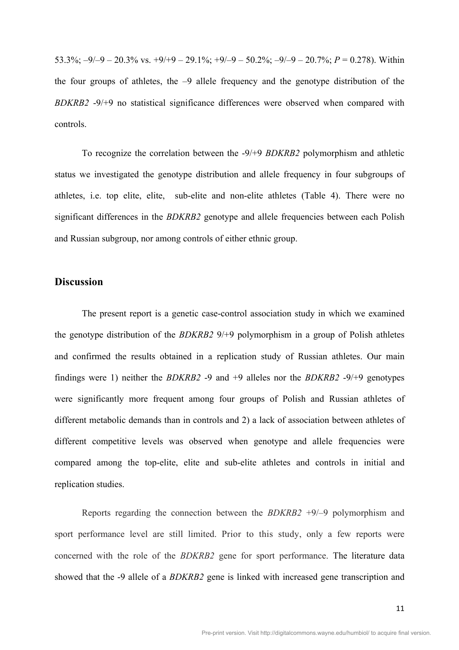53.3%;  $-9/-9 - 20.3\%$  vs.  $+9/+9 - 29.1\%$ ;  $+9/-9 - 50.2\%$ ;  $-9/-9 - 20.7\%$ ;  $P = 0.278$ ). Within the four groups of athletes, the –9 allele frequency and the genotype distribution of the *BDKRB2* -9/+9 no statistical significance differences were observed when compared with controls.

To recognize the correlation between the -9/+9 *BDKRB2* polymorphism and athletic status we investigated the genotype distribution and allele frequency in four subgroups of athletes, i.e. top elite, elite, sub-elite and non-elite athletes (Table 4). There were no significant differences in the *BDKRB2* genotype and allele frequencies between each Polish and Russian subgroup, nor among controls of either ethnic group.

#### **Discussion**

The present report is a genetic case-control association study in which we examined the genotype distribution of the *BDKRB2* 9/+9 polymorphism in a group of Polish athletes and confirmed the results obtained in a replication study of Russian athletes. Our main findings were 1) neither the *BDKRB2* -9 and +9 alleles nor the *BDKRB2* -9/+9 genotypes were significantly more frequent among four groups of Polish and Russian athletes of different metabolic demands than in controls and 2) a lack of association between athletes of different competitive levels was observed when genotype and allele frequencies were compared among the top-elite, elite and sub-elite athletes and controls in initial and replication studies.

Reports regarding the connection between the *BDKRB2* +9/–9 polymorphism and sport performance level are still limited. Prior to this study, only a few reports were concerned with the role of the *BDKRB2* gene for sport performance. The literature data showed that the -9 allele of a *BDKRB2* gene is linked with increased gene transcription and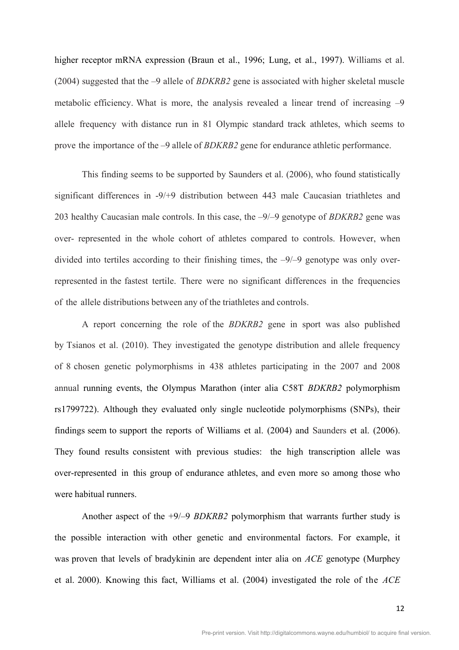higher receptor mRNA expression (Braun et al., 1996; Lung, et al., 1997). Williams et al. (2004) suggested that the –9 allele of *BDKRB2* gene is associated with higher skeletal muscle metabolic efficiency. What is more, the analysis revealed a linear trend of increasing –9 allele frequency with distance run in 81 Olympic standard track athletes, which seems to prove the importance of the –9 allele of *BDKRB2* gene for endurance athletic performance.

This finding seems to be supported by Saunders et al. (2006), who found statistically significant differences in -9/+9 distribution between 443 male Caucasian triathletes and 203 healthy Caucasian male controls. In this case, the –9/–9 genotype of *BDKRB2* gene was over- represented in the whole cohort of athletes compared to controls. However, when divided into tertiles according to their finishing times, the –9/–9 genotype was only overrepresented in the fastest tertile. There were no significant differences in the frequencies of the allele distributions between any of the triathletes and controls.

A report concerning the role of the *BDKRB2* gene in sport was also published by Tsianos et al. (2010). They investigated the genotype distribution and allele frequency of 8 chosen genetic polymorphisms in 438 athletes participating in the 2007 and 2008 annual running events, the Olympus Marathon (inter alia C58T *BDKRB2* polymorphism rs1799722). Although they evaluated only single nucleotide polymorphisms (SNPs), their findings seem to support the reports of Williams et al. (2004) and Saunders et al. (2006). They found results consistent with previous studies: the high transcription allele was over-represented in this group of endurance athletes, and even more so among those who were habitual runners.

Another aspect of the +9/–9 *BDKRB2* polymorphism that warrants further study is the possible interaction with other genetic and environmental factors. For example, it was proven that levels of bradykinin are dependent inter alia on *ACE* genotype (Murphey et al. 2000). Knowing this fact, Williams et al. (2004) investigated the role of the *ACE*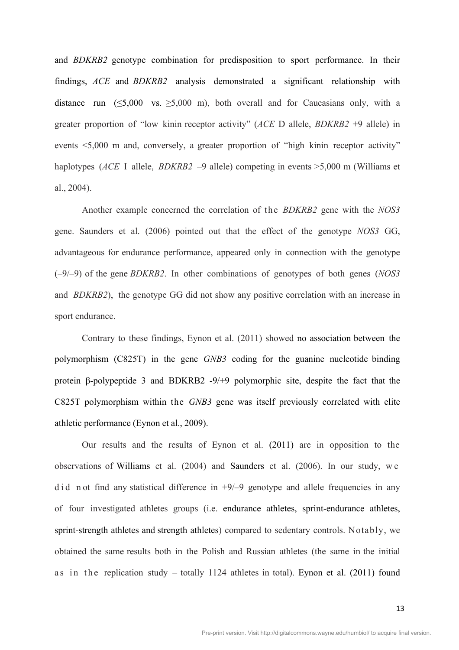and *BDKRB2* genotype combination for predisposition to sport performance. In their findings, *ACE* and *BDKRB2* analysis demonstrated a significant relationship with distance run  $(\leq 5,000 \text{ vs. } \geq 5,000 \text{ m})$ , both overall and for Caucasians only, with a greater proportion of "low kinin receptor activity" (*ACE* D allele, *BDKRB2* +9 allele) in events <5,000 m and, conversely, a greater proportion of "high kinin receptor activity" haplotypes (*ACE* I allele, *BDKRB2* –9 allele) competing in events >5,000 m (Williams et al., 2004).

Another example concerned the correlation of the *BDKRB2* gene with the *NOS3* gene. Saunders et al. (2006) pointed out that the effect of the genotype *NOS3* GG, advantageous for endurance performance, appeared only in connection with the genotype (–9/–9) of the gene *BDKRB2*. In other combinations of genotypes of both genes (*NOS3* and *BDKRB2*), the genotype GG did not show any positive correlation with an increase in sport endurance.

Contrary to these findings, Eynon et al. (2011) showed no association between the polymorphism (C825T) in the gene *GNB3* coding for the guanine nucleotide binding protein β-polypeptide 3 and BDKRB2 -9/+9 polymorphic site, despite the fact that the C825T polymorphism within the *GNB3* gene was itself previously correlated with elite athletic performance (Eynon et al., 2009).

Our results and the results of Eynon et al. (2011) are in opposition to the observations of Williams et al. (2004) and Saunders et al. (2006). In our study, we did n ot find any statistical difference in  $+9/-9$  genotype and allele frequencies in any of four investigated athletes groups (i.e. endurance athletes, sprint-endurance athletes, sprint-strength athletes and strength athletes) compared to sedentary controls. Notably, we obtained the same results both in the Polish and Russian athletes (the same in the initial as in the replication study – totally 1124 athletes in total). Eynon et al. (2011) found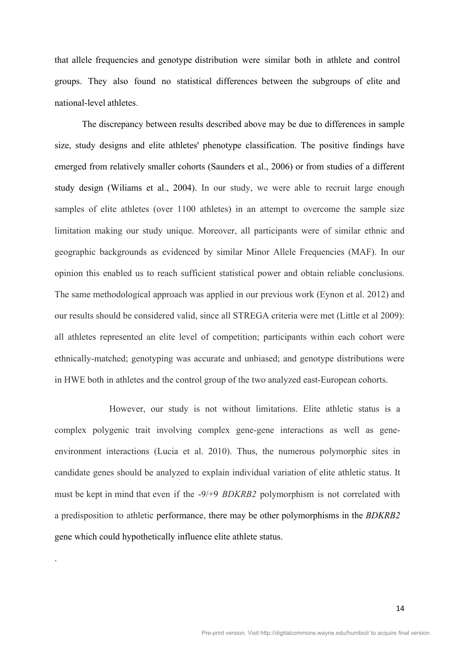that allele frequencies and genotype distribution were similar both in athlete and control groups. They also found no statistical differences between the subgroups of elite and national-level athletes.

The discrepancy between results described above may be due to differences in sample size, study designs and elite athletes' phenotype classification. The positive findings have emerged from relatively smaller cohorts (Saunders et al., 2006) or from studies of a different study design (Wiliams et al., 2004). In our study, we were able to recruit large enough samples of elite athletes (over 1100 athletes) in an attempt to overcome the sample size limitation making our study unique. Moreover, all participants were of similar ethnic and geographic backgrounds as evidenced by similar Minor Allele Frequencies (MAF). In our opinion this enabled us to reach sufficient statistical power and obtain reliable conclusions. The same methodological approach was applied in our previous work (Eynon et al. 2012) and our results should be considered valid, since all STREGA criteria were met (Little et al 2009): all athletes represented an elite level of competition; participants within each cohort were ethnically-matched; genotyping was accurate and unbiased; and genotype distributions were in HWE both in athletes and the control group of the two analyzed east-European cohorts.

However, our study is not without limitations. Elite athletic status is a complex polygenic trait involving complex gene-gene interactions as well as geneenvironment interactions (Lucia et al. 2010). Thus, the numerous polymorphic sites in candidate genes should be analyzed to explain individual variation of elite athletic status. It must be kept in mind that even if the -9/+9 *BDKRB2* polymorphism is not correlated with a predisposition to athletic performance, there may be other polymorphisms in the *BDKRB2*  gene which could hypothetically influence elite athlete status.

.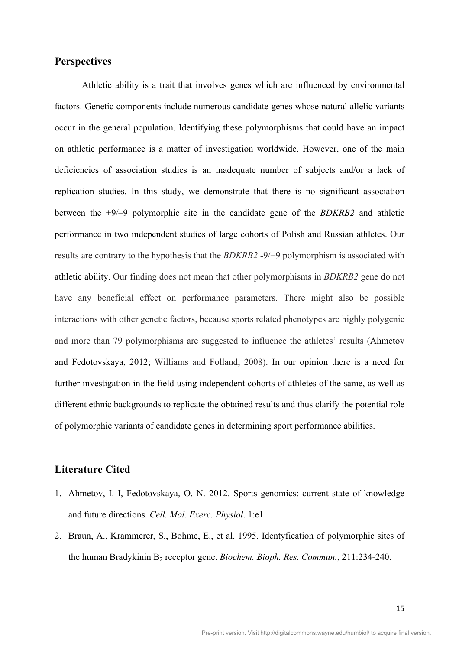## **Perspectives**

Athletic ability is a trait that involves genes which are influenced by environmental factors. Genetic components include numerous candidate genes whose natural allelic variants occur in the general population. Identifying these polymorphisms that could have an impact on athletic performance is a matter of investigation worldwide. However, one of the main deficiencies of association studies is an inadequate number of subjects and/or a lack of replication studies. In this study, we demonstrate that there is no significant association between the +9/–9 polymorphic site in the candidate gene of the *BDKRB2* and athletic performance in two independent studies of large cohorts of Polish and Russian athletes. Our results are contrary to the hypothesis that the *BDKRB2* -9/+9 polymorphism is associated with athletic ability. Our finding does not mean that other polymorphisms in *BDKRB2* gene do not have any beneficial effect on performance parameters. There might also be possible interactions with other genetic factors, because sports related phenotypes are highly polygenic and more than 79 polymorphisms are suggested to influence the athletes' results (Ahmetov and Fedotovskaya, 2012; Williams and Folland, 2008). In our opinion there is a need for further investigation in the field using independent cohorts of athletes of the same, as well as different ethnic backgrounds to replicate the obtained results and thus clarify the potential role of polymorphic variants of candidate genes in determining sport performance abilities.

### **Literature Cited**

- 1. Ahmetov, I. I, Fedotovskaya, O. N. 2012. Sports genomics: current state of knowledge and future directions. *Cell. Mol. Exerc. Physiol*. 1:e1.
- 2. Braun, A., Krammerer, S., Bohme, E., et al. 1995. Identyfication of polymorphic sites of the human Bradykinin B<sub>2</sub> receptor gene. *Biochem. Bioph. Res. Commun.*, 211:234-240.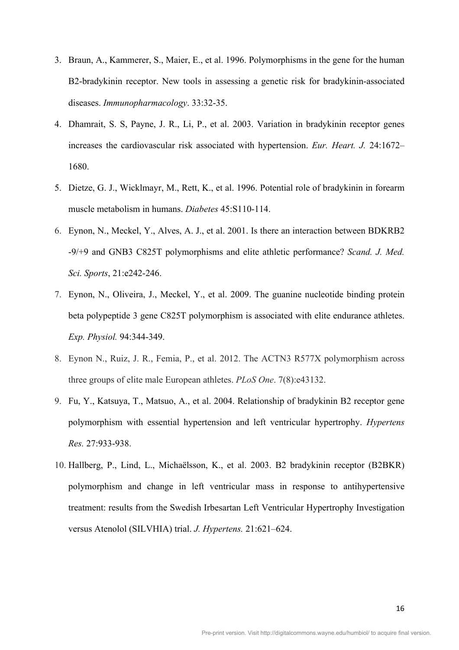- 3. Braun, A., Kammerer, S., Maier, E., et al. 1996. Polymorphisms in the gene for the human B2-bradykinin receptor. New tools in assessing a genetic risk for bradykinin-associated diseases. *Immunopharmacology*. 33:32-35.
- 4. Dhamrait, S. S, Payne, J. R., Li, P., et al. 2003. Variation in bradykinin receptor genes increases the cardiovascular risk associated with hypertension. *Eur. Heart. J.* 24:1672– 1680.
- 5. Dietze, G. J., Wicklmayr, M., Rett, K., et al. 1996. Potential role of bradykinin in forearm muscle metabolism in humans. *Diabetes* 45:S110-114.
- 6. Eynon, N., Meckel, Y., Alves, A. J., et al. 2001. Is there an interaction between BDKRB2 -9/+9 and GNB3 C825T polymorphisms and elite athletic performance? *Scand. J. Med. Sci. Sports*, 21:e242-246.
- 7. Eynon, N., Oliveira, J., Meckel, Y., et al. 2009. The guanine nucleotide binding protein beta polypeptide 3 gene C825T polymorphism is associated with elite endurance athletes. *Exp. Physiol.* 94:344-349.
- 8. Eynon N., Ruiz, J. R., Femia, P., et al. 2012. The ACTN3 R577X polymorphism across three groups of elite male European athletes. *PLoS One*. 7(8):e43132.
- 9. Fu, Y., Katsuya, T., Matsuo, A., et al. 2004. Relationship of bradykinin B2 receptor gene polymorphism with essential hypertension and left ventricular hypertrophy. *Hypertens Res.* 27:933-938.
- 10. Hallberg, P., Lind, L., Michaëlsson, K., et al. 2003. B2 bradykinin receptor (B2BKR) polymorphism and change in left ventricular mass in response to antihypertensive treatment: results from the Swedish Irbesartan Left Ventricular Hypertrophy Investigation versus Atenolol (SILVHIA) trial. *J. Hypertens.* 21:621–624.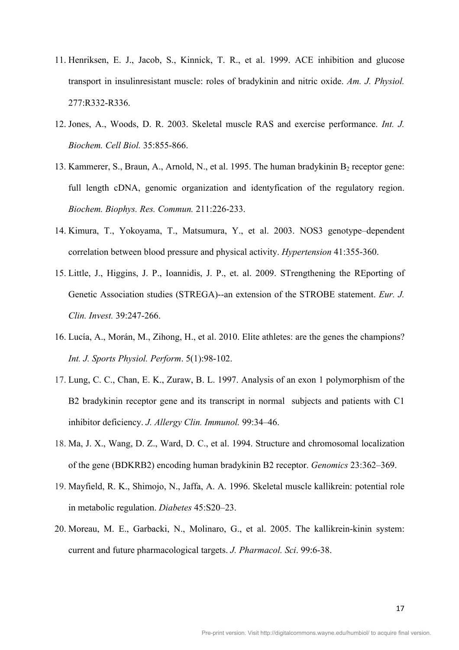- 11. Henriksen, E. J., Jacob, S., Kinnick, T. R., et al. 1999. ACE inhibition and glucose transport in insulinresistant muscle: roles of bradykinin and nitric oxide. *Am. J. Physiol.* 277:R332-R336.
- 12. Jones, A., Woods, D. R. 2003. Skeletal muscle RAS and exercise performance. *Int. J. Biochem. Cell Biol.* 35:855-866.
- 13. Kammerer, S., Braun, A., Arnold, N., et al. 1995. The human bradykinin  $B_2$  receptor gene: full length cDNA, genomic organization and identyfication of the regulatory region. *Biochem. Biophys. Res. Commun.* 211:226-233.
- 14. Kimura, T., Yokoyama, T., Matsumura, Y., et al. 2003. NOS3 genotype–dependent correlation between blood pressure and physical activity. *Hypertension* 41:355-360.
- 15. Little, J., Higgins, J. P., Ioannidis, J. P., et. al. 2009. STrengthening the REporting of Genetic Association studies (STREGA)--an extension of the STROBE statement. *Eur. J. Clin. Invest.* 39:247-266.
- 16. Lucía, A., Morán, M., Zihong, H., et al. 2010. Elite athletes: are the genes the champions? *Int. J. Sports Physiol. Perform*. 5(1):98-102.
- 17. Lung, C. C., Chan, E. K., Zuraw, B. L. 1997. Analysis of an exon 1 polymorphism of the B2 bradykinin receptor gene and its transcript in normal subjects and patients with C1 inhibitor deficiency. *J. Allergy Clin. Immunol.* 99:34–46.
- 18. Ma, J. X., Wang, D. Z., Ward, D. C., et al. 1994. Structure and chromosomal localization of the gene (BDKRB2) encoding human bradykinin B2 receptor. *Genomics* 23:362–369.
- 19. Mayfield, R. K., Shimojo, N., Jaffa, A. A. 1996. Skeletal muscle kallikrein: potential role in metabolic regulation. *Diabetes* 45:S20–23.
- 20. Moreau, M. E., Garbacki, N., Molinaro, G., et al. 2005. The kallikrein-kinin system: current and future pharmacological targets. *J. Pharmacol. Sci*. 99:6-38.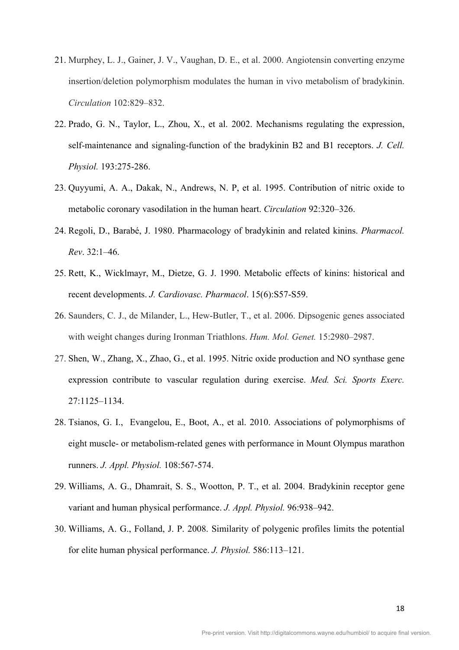- 21. Murphey, L. J., Gainer, J. V., Vaughan, D. E., et al. 2000. Angiotensin converting enzyme insertion/deletion polymorphism modulates the human in vivo metabolism of bradykinin. *Circulation* 102:829–832.
- 22. Prado, G. N., Taylor, L., Zhou, X., et al. 2002. Mechanisms regulating the expression, self-maintenance and signaling-function of the bradykinin B2 and B1 receptors. *J. Cell. Physiol.* 193:275-286.
- 23. Quyyumi, A. A., Dakak, N., Andrews, N. P, et al. 1995. Contribution of nitric oxide to metabolic coronary vasodilation in the human heart. *Circulation* 92:320–326.
- 24. Regoli, D., Barabé, J. 1980. Pharmacology of bradykinin and related kinins. *Pharmacol. Rev*. 32:1–46.
- 25. Rett, K., Wicklmayr, M., Dietze, G. J. 1990. Metabolic effects of kinins: historical and recent developments. *J. Cardiovasc. Pharmacol*. 15(6):S57-S59.
- 26. Saunders, C. J., de Milander, L., Hew-Butler, T., et al. 2006. Dipsogenic genes associated with weight changes during Ironman Triathlons. *Hum. Mol. Genet.* 15:2980–2987.
- 27. Shen, W., Zhang, X., Zhao, G., et al. 1995. Nitric oxide production and NO synthase gene expression contribute to vascular regulation during exercise. *Med. Sci. Sports Exerc.* 27:1125–1134.
- 28. Tsianos, G. I., Evangelou, E., Boot, A., et al. 2010. Associations of polymorphisms of eight muscle- or metabolism-related genes with performance in Mount Olympus marathon runners. *J. Appl. Physiol.* 108:567-574.
- 29. Williams, A. G., Dhamrait, S. S., Wootton, P. T., et al. 2004. Bradykinin receptor gene variant and human physical performance. *J. Appl. Physiol.* 96:938–942.
- 30. Williams, A. G., Folland, J. P. 2008. Similarity of polygenic profiles limits the potential for elite human physical performance. *J. Physiol.* 586:113–121.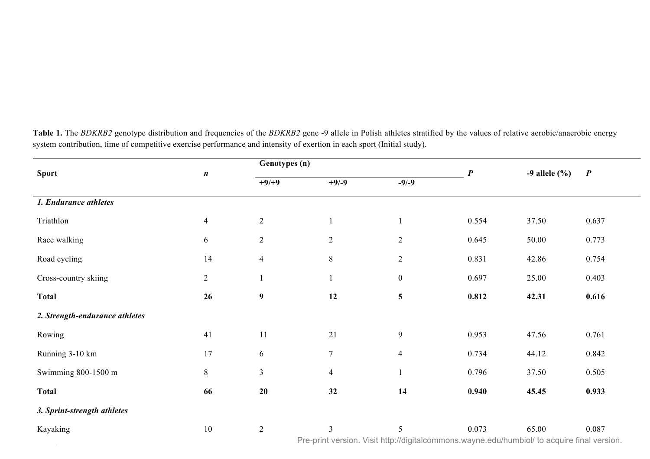| <b>Sport</b>                   | $\boldsymbol{n}$                                                                            | Genotypes (n)    |                | $\boldsymbol{P}$        | $-9$ allele $(\% )$ | $\boldsymbol{P}$ |       |  |
|--------------------------------|---------------------------------------------------------------------------------------------|------------------|----------------|-------------------------|---------------------|------------------|-------|--|
|                                |                                                                                             | $+9/+9$          | $+9/ -9$       | $-9/-9$                 |                     |                  |       |  |
| 1. Endurance athletes          |                                                                                             |                  |                |                         |                     |                  |       |  |
| Triathlon                      | $\overline{4}$                                                                              | $\overline{2}$   |                |                         | 0.554               | 37.50            | 0.637 |  |
| Race walking                   | 6                                                                                           | $\overline{2}$   | $\overline{2}$ | $\overline{c}$          | 0.645               | 50.00            | 0.773 |  |
| Road cycling                   | 14                                                                                          | $\overline{4}$   | $\,8\,$        | $\mathbf{2}$            | 0.831               | 42.86            | 0.754 |  |
| Cross-country skiing           | $\overline{2}$                                                                              |                  | $\mathbf{1}$   | $\boldsymbol{0}$        | 0.697               | 25.00            | 0.403 |  |
| <b>Total</b>                   | 26                                                                                          | $\boldsymbol{9}$ | 12             | $\overline{\mathbf{5}}$ | 0.812               | 42.31            | 0.616 |  |
| 2. Strength-endurance athletes |                                                                                             |                  |                |                         |                     |                  |       |  |
| Rowing                         | 41                                                                                          | 11               | 21             | $\mathbf{9}$            | 0.953               | 47.56            | 0.761 |  |
| Running 3-10 km                | 17                                                                                          | 6                | $\overline{7}$ | $\overline{4}$          | 0.734               | 44.12            | 0.842 |  |
| Swimming 800-1500 m            | $8\,$                                                                                       | $\overline{3}$   | $\overline{4}$ |                         | 0.796               | 37.50            | 0.505 |  |
| <b>Total</b>                   | 66                                                                                          | 20               | 32             | 14                      | 0.940               | 45.45            | 0.933 |  |
| 3. Sprint-strength athletes    |                                                                                             |                  |                |                         |                     |                  |       |  |
| Kayaking                       | $10\,$                                                                                      | $\overline{2}$   | 3              | 5                       | 0.073               | 65.00            | 0.087 |  |
|                                | Pre-print version. Visit http://digitalcommons.wayne.edu/humbiol/ to acquire final version. |                  |                |                         |                     |                  |       |  |

Running 800-1500 m 7 3 3 1 0.709 35.71 0.449

Table 1. The *BDKRB2* genotype distribution and frequencies of the *BDKRB2* gene -9 allele in Polish athletes stratified by the values of relative aerobic/anaerobic energy system contribution, time of competitive exercise performance and intensity of exertion in each sport (Initial study).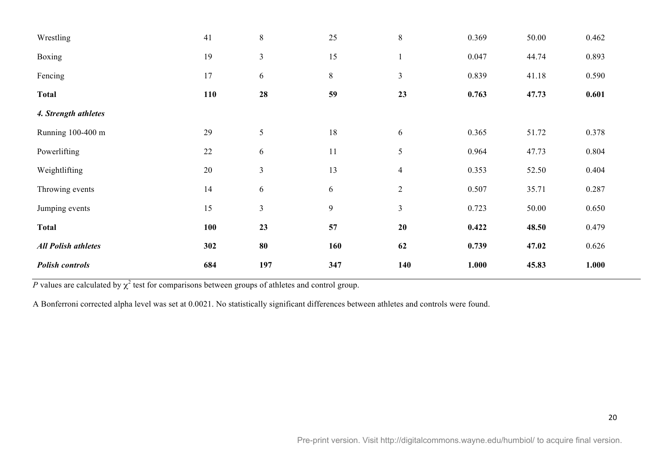| Wrestling                  | 41     | $8\,$          | 25     | $\,8\,$        | 0.369 | 50.00 | 0.462 |
|----------------------------|--------|----------------|--------|----------------|-------|-------|-------|
| <b>Boxing</b>              | 19     | $\mathfrak{Z}$ | 15     |                | 0.047 | 44.74 | 0.893 |
| Fencing                    | 17     | 6              | $8\,$  | $\mathfrak{Z}$ | 0.839 | 41.18 | 0.590 |
| <b>Total</b>               | 110    | 28             | 59     | 23             | 0.763 | 47.73 | 0.601 |
| 4. Strength athletes       |        |                |        |                |       |       |       |
| Running 100-400 m          | 29     | 5              | $18\,$ | 6              | 0.365 | 51.72 | 0.378 |
| Powerlifting               | $22\,$ | 6              | 11     | $\sqrt{5}$     | 0.964 | 47.73 | 0.804 |
| Weightlifting              | 20     | $\mathfrak{Z}$ | 13     | $\overline{4}$ | 0.353 | 52.50 | 0.404 |
| Throwing events            | 14     | 6              | 6      | $\mathfrak{2}$ | 0.507 | 35.71 | 0.287 |
| Jumping events             | 15     | $\overline{3}$ | 9      | $\mathfrak{Z}$ | 0.723 | 50.00 | 0.650 |
| <b>Total</b>               | 100    | 23             | 57     | 20             | 0.422 | 48.50 | 0.479 |
| <b>All Polish athletes</b> | 302    | 80             | 160    | 62             | 0.739 | 47.02 | 0.626 |
| <b>Polish controls</b>     | 684    | 197            | 347    | 140            | 1.000 | 45.83 | 1.000 |

*P* values are calculated by  $\chi^2$  test for comparisons between groups of athletes and control group.

A Bonferroni corrected alpha level was set at 0.0021. No statistically significant differences between athletes and controls were found.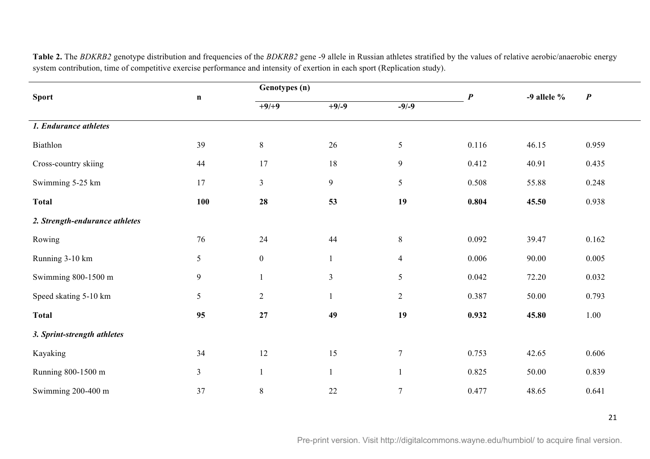| <b>Sport</b>                   |                 | Genotypes (n)    |                | $\boldsymbol{P}$ |       | $\boldsymbol{P}$ |       |
|--------------------------------|-----------------|------------------|----------------|------------------|-------|------------------|-------|
|                                | $\mathbf n$     | $+9/+9$          | $+9/-9$        | $-9/-9$          |       | -9 allele $%$    |       |
| 1. Endurance athletes          |                 |                  |                |                  |       |                  |       |
| Biathlon                       | 39              | $8\,$            | 26             | $\mathfrak{S}$   | 0.116 | 46.15            | 0.959 |
| Cross-country skiing           | 44              | 17               | 18             | $\overline{9}$   | 0.412 | 40.91            | 0.435 |
| Swimming 5-25 km               | 17              | $\mathfrak{Z}$   | 9              | $\mathfrak{S}$   | 0.508 | 55.88            | 0.248 |
| <b>Total</b>                   | 100             | 28               | 53             | 19               | 0.804 | 45.50            | 0.938 |
| 2. Strength-endurance athletes |                 |                  |                |                  |       |                  |       |
| Rowing                         | 76              | 24               | 44             | $8\,$            | 0.092 | 39.47            | 0.162 |
| Running 3-10 km                | 5               | $\boldsymbol{0}$ | $\mathbf{1}$   | $\overline{4}$   | 0.006 | 90.00            | 0.005 |
| Swimming 800-1500 m            | $\overline{9}$  | $\mathbf{1}$     | $\overline{3}$ | 5                | 0.042 | 72.20            | 0.032 |
| Speed skating 5-10 km          | $5\phantom{.0}$ | $\overline{2}$   | $\mathbf{1}$   | $\overline{2}$   | 0.387 | 50.00            | 0.793 |
| <b>Total</b>                   | 95              | 27               | 49             | 19               | 0.932 | 45.80            | 1.00  |
| 3. Sprint-strength athletes    |                 |                  |                |                  |       |                  |       |
| Kayaking                       | 34              | 12               | 15             | $7\phantom{.0}$  | 0.753 | 42.65            | 0.606 |
| Running 800-1500 m             | $\mathfrak{Z}$  | $\mathbf{1}$     | $\mathbf{1}$   |                  | 0.825 | 50.00            | 0.839 |
| Swimming 200-400 m             | 37              | $8\,$            | 22             | $\overline{7}$   | 0.477 | 48.65            | 0.641 |

Table 2. The *BDKRB2* genotype distribution and frequencies of the *BDKRB2* gene -9 allele in Russian athletes stratified by the values of relative aerobic/anaerobic energy system contribution, time of competitive exercise performance and intensity of exertion in each sport (Replication study).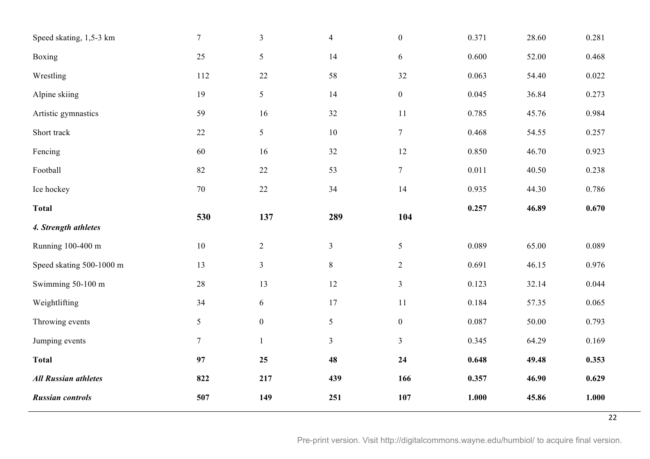| Speed skating, 1,5-3 km     | $\overline{7}$ | $\overline{3}$   | $\overline{4}$ | $\boldsymbol{0}$ | 0.371 | 28.60 | 0.281 |
|-----------------------------|----------------|------------------|----------------|------------------|-------|-------|-------|
| Boxing                      | 25             | 5                | 14             | 6                | 0.600 | 52.00 | 0.468 |
| Wrestling                   | 112            | $22\,$           | 58             | 32               | 0.063 | 54.40 | 0.022 |
| Alpine skiing               | 19             | $5\overline{)}$  | 14             | $\boldsymbol{0}$ | 0.045 | 36.84 | 0.273 |
| Artistic gymnastics         | 59             | 16               | 32             | 11               | 0.785 | 45.76 | 0.984 |
| Short track                 | $22\,$         | $5\overline{)}$  | $10\,$         | $\boldsymbol{7}$ | 0.468 | 54.55 | 0.257 |
| Fencing                     | 60             | 16               | 32             | $12\,$           | 0.850 | 46.70 | 0.923 |
| Football                    | 82             | 22               | 53             | $7\phantom{.0}$  | 0.011 | 40.50 | 0.238 |
| Ice hockey                  | $70\,$         | $22\,$           | 34             | 14               | 0.935 | 44.30 | 0.786 |
| <b>Total</b>                | 530            | 137              | 289            | 104              | 0.257 | 46.89 | 0.670 |
|                             |                |                  |                |                  |       |       |       |
| 4. Strength athletes        |                |                  |                |                  |       |       |       |
| Running 100-400 m           | $10\,$         | $\overline{2}$   | $\overline{3}$ | $\mathfrak{S}$   | 0.089 | 65.00 | 0.089 |
| Speed skating 500-1000 m    | 13             | $\mathfrak{Z}$   | 8              | $\overline{2}$   | 0.691 | 46.15 | 0.976 |
| Swimming 50-100 m           | $28\,$         | 13               | $12\,$         | $\mathfrak{Z}$   | 0.123 | 32.14 | 0.044 |
| Weightlifting               | 34             | 6                | $17\,$         | $11\,$           | 0.184 | 57.35 | 0.065 |
| Throwing events             | 5              | $\boldsymbol{0}$ | 5              | $\boldsymbol{0}$ | 0.087 | 50.00 | 0.793 |
| Jumping events              | $7\phantom{.}$ | $\mathbf{1}$     | $\overline{3}$ | $\overline{3}$   | 0.345 | 64.29 | 0.169 |
| <b>Total</b>                | 97             | 25               | 48             | 24               | 0.648 | 49.48 | 0.353 |
| <b>All Russian athletes</b> | 822            | 217              | 439            | 166              | 0.357 | 46.90 | 0.629 |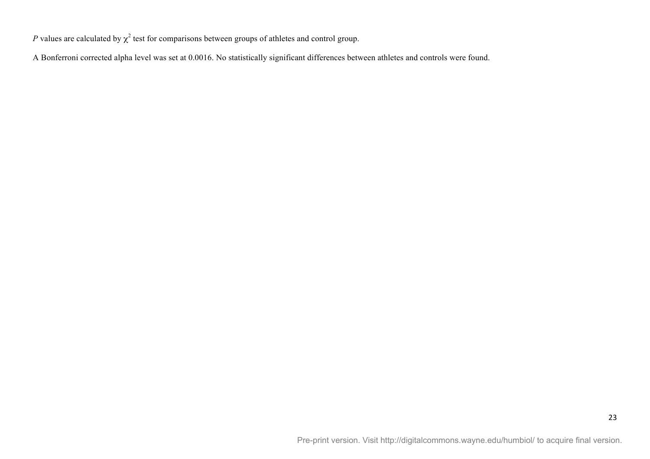*P* values are calculated by  $\chi^2$  test for comparisons between groups of athletes and control group.

A Bonferroni corrected alpha level was set at 0.0016. No statistically significant differences between athletes and controls were found.

23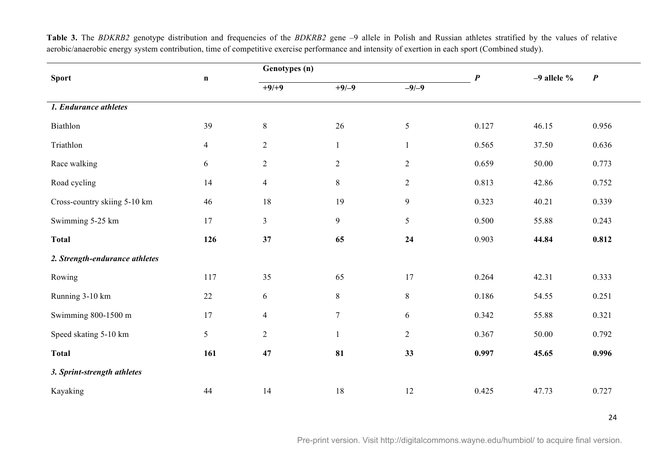| <b>Sport</b>                   | $\mathbf n$    | Genotypes (n)  |                | $\boldsymbol{P}$ | $-9$ allele % | $\boldsymbol{P}$ |       |
|--------------------------------|----------------|----------------|----------------|------------------|---------------|------------------|-------|
|                                |                | $+9/+9$        | $+9/-9$        | $-9/-9$          |               |                  |       |
| 1. Endurance athletes          |                |                |                |                  |               |                  |       |
| Biathlon                       | 39             | $8\,$          | 26             | $\sqrt{5}$       | 0.127         | 46.15            | 0.956 |
| Triathlon                      | $\overline{4}$ | $\mathbf{2}$   | $\mathbf{1}$   | $\mathbf{1}$     | 0.565         | 37.50            | 0.636 |
| Race walking                   | 6              | $\overline{2}$ | $\overline{2}$ | $\overline{2}$   | 0.659         | 50.00            | 0.773 |
| Road cycling                   | 14             | $\overline{4}$ | $8\,$          | $\overline{2}$   | 0.813         | 42.86            | 0.752 |
| Cross-country skiing 5-10 km   | 46             | 18             | 19             | 9                | 0.323         | 40.21            | 0.339 |
| Swimming 5-25 km               | 17             | $\overline{3}$ | 9              | 5                | 0.500         | 55.88            | 0.243 |
| <b>Total</b>                   | 126            | 37             | 65             | 24               | 0.903         | 44.84            | 0.812 |
| 2. Strength-endurance athletes |                |                |                |                  |               |                  |       |
| Rowing                         | 117            | 35             | 65             | 17               | 0.264         | 42.31            | 0.333 |
| Running 3-10 km                | $22\,$         | 6              | $8\,$          | $8\,$            | 0.186         | 54.55            | 0.251 |
| Swimming 800-1500 m            | 17             | $\overline{4}$ | $\overline{7}$ | 6                | 0.342         | 55.88            | 0.321 |
| Speed skating 5-10 km          | 5              | $\overline{2}$ | $\mathbf{1}$   | $\overline{2}$   | 0.367         | 50.00            | 0.792 |
| <b>Total</b>                   | 161            | 47             | 81             | 33               | 0.997         | 45.65            | 0.996 |
| 3. Sprint-strength athletes    |                |                |                |                  |               |                  |       |
| Kayaking                       | 44             | 14             | 18             | $12\,$           | 0.425         | 47.73            | 0.727 |

Table 3. The *BDKRB2* genotype distribution and frequencies of the *BDKRB2* gene –9 allele in Polish and Russian athletes stratified by the values of relative aerobic/anaerobic energy system contribution, time of competitive exercise performance and intensity of exertion in each sport (Combined study).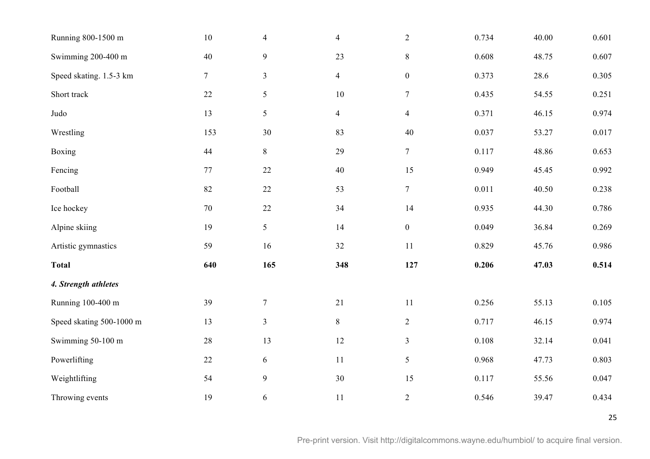| Running 800-1500 m       | 10              | $\overline{4}$   | $\overline{4}$ | $\overline{2}$   | 0.734 | 40.00 | 0.601 |
|--------------------------|-----------------|------------------|----------------|------------------|-------|-------|-------|
| Swimming 200-400 m       | 40              | $\overline{9}$   | 23             | $8\,$            | 0.608 | 48.75 | 0.607 |
| Speed skating. 1.5-3 km  | $7\phantom{.0}$ | $\mathfrak{Z}$   | $\overline{4}$ | $\boldsymbol{0}$ | 0.373 | 28.6  | 0.305 |
| Short track              | 22              | $\sqrt{5}$       | $10\,$         | $\overline{7}$   | 0.435 | 54.55 | 0.251 |
| Judo                     | 13              | 5                | $\overline{4}$ | $\overline{4}$   | 0.371 | 46.15 | 0.974 |
| Wrestling                | 153             | $30\,$           | 83             | $40\,$           | 0.037 | 53.27 | 0.017 |
| Boxing                   | $44\,$          | $8\,$            | 29             | $\boldsymbol{7}$ | 0.117 | 48.86 | 0.653 |
| Fencing                  | 77              | 22               | 40             | 15               | 0.949 | 45.45 | 0.992 |
| Football                 | 82              | $22\,$           | 53             | $\tau$           | 0.011 | 40.50 | 0.238 |
| Ice hockey               | 70              | $22\,$           | 34             | 14               | 0.935 | 44.30 | 0.786 |
| Alpine skiing            | 19              | 5                | 14             | $\boldsymbol{0}$ | 0.049 | 36.84 | 0.269 |
| Artistic gymnastics      | 59              | 16               | 32             | 11               | 0.829 | 45.76 | 0.986 |
| <b>Total</b>             | 640             | 165              | 348            | 127              | 0.206 | 47.03 | 0.514 |
| 4. Strength athletes     |                 |                  |                |                  |       |       |       |
| Running 100-400 m        | 39              | $\boldsymbol{7}$ | $21\,$         | 11               | 0.256 | 55.13 | 0.105 |
| Speed skating 500-1000 m | 13              | $\mathfrak{Z}$   | $8\,$          | $\overline{2}$   | 0.717 | 46.15 | 0.974 |
| Swimming 50-100 m        | $28\,$          | 13               | $12\,$         | $\mathfrak{Z}$   | 0.108 | 32.14 | 0.041 |
| Powerlifting             | 22              | $\sqrt{6}$       | 11             | 5                | 0.968 | 47.73 | 0.803 |
| Weightlifting            | 54              | $\mathbf{9}$     | 30             | 15               | 0.117 | 55.56 | 0.047 |
| Throwing events          | 19              | $\sqrt{6}$       | 11             | $\overline{2}$   | 0.546 | 39.47 | 0.434 |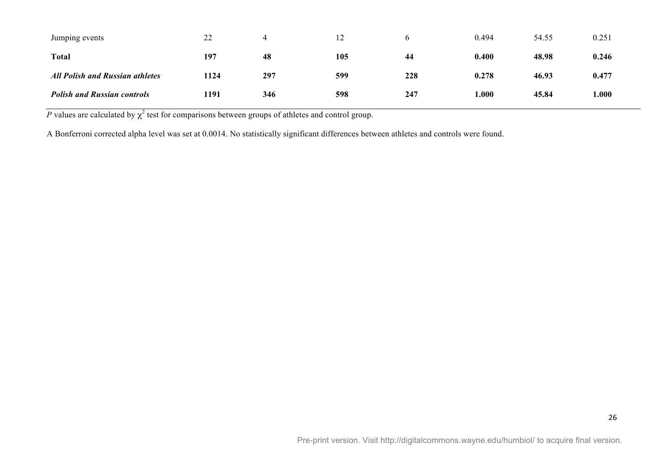| Jumping events                         | 22   |     | 12  |     | 0.494 | 54.55 | 0.251 |
|----------------------------------------|------|-----|-----|-----|-------|-------|-------|
| <b>Total</b>                           | 197  | 48  | 105 | 44  | 0.400 | 48.98 | 0.246 |
| <b>All Polish and Russian athletes</b> | 1124 | 297 | 599 | 228 | 0.278 | 46.93 | 0.477 |
| <b>Polish and Russian controls</b>     | 1191 | 346 | 598 | 247 | 1.000 | 45.84 | 000.1 |

*P* values are calculated by  $\chi^2$  test for comparisons between groups of athletes and control group.

A Bonferroni corrected alpha level was set at 0.0014. No statistically significant differences between athletes and controls were found.